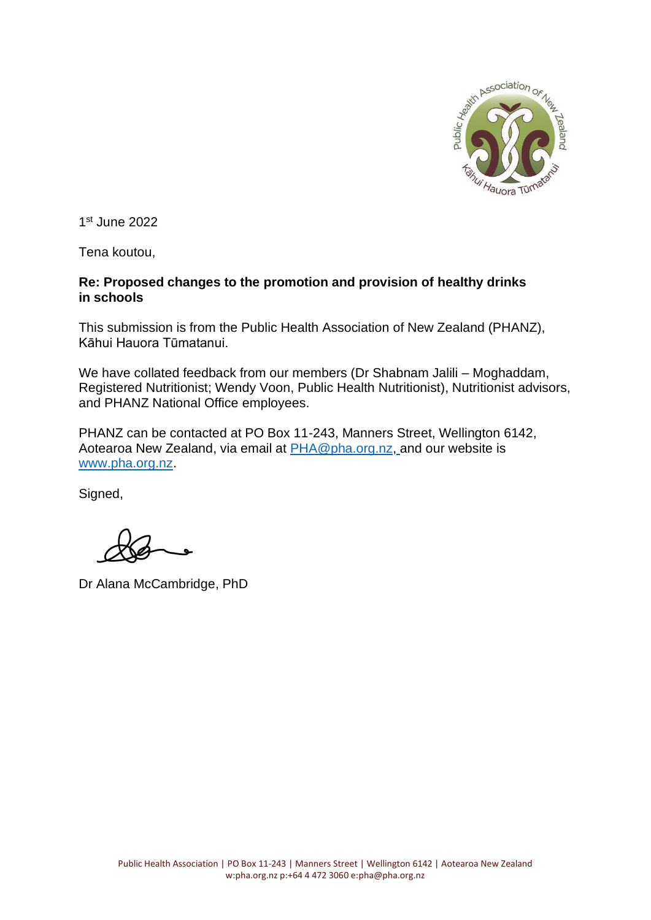

1 st June 2022

Tena koutou,

# **Re: Proposed changes to the promotion and provision of healthy drinks in schools**

This submission is from the Public Health Association of New Zealand (PHANZ), Kāhui Hauora Tūmatanui.

We have collated feedback from our members (Dr Shabnam Jalili – Moghaddam, Registered Nutritionist; Wendy Voon, Public Health Nutritionist), Nutritionist advisors, and PHANZ National Office employees.

PHANZ can be contacted at PO Box 11-243, Manners Street, Wellington 6142, Aotearoa New Zealand, via email at **PHA@pha.org.nz, and our website is** [www.pha.org.nz.](http://www.pha.org.nz/)

Signed,

Dr Alana McCambridge, PhD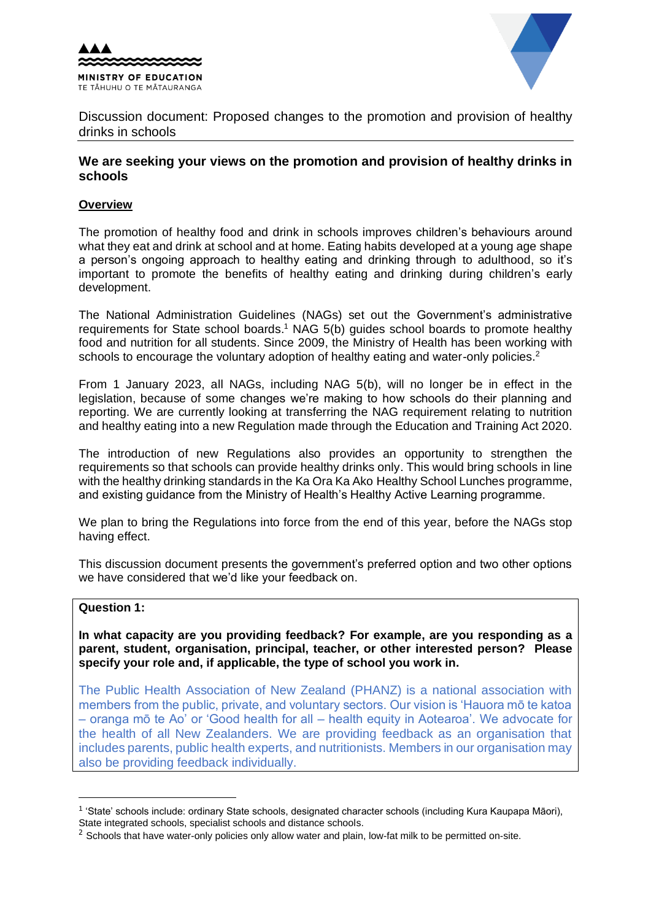



Discussion document: Proposed changes to the promotion and provision of healthy drinks in schools

# **We are seeking your views on the promotion and provision of healthy drinks in schools**

### **Overview**

The promotion of healthy food and drink in schools improves children's behaviours around what they eat and drink at school and at home. Eating habits developed at a young age shape a person's ongoing approach to healthy eating and drinking through to adulthood, so it's important to promote the benefits of healthy eating and drinking during children's early development.

The National Administration Guidelines (NAGs) set out the Government's administrative requirements for State school boards.<sup>1</sup> NAG 5(b) guides school boards to promote healthy food and nutrition for all students. Since 2009, the Ministry of Health has been working with schools to encourage the voluntary adoption of healthy eating and water-only policies.<sup>2</sup>

From 1 January 2023, all NAGs, including NAG 5(b), will no longer be in effect in the legislation, because of some changes we're making to how schools do their planning and reporting. We are currently looking at transferring the NAG requirement relating to nutrition and healthy eating into a new Regulation made through the Education and Training Act 2020.

The introduction of new Regulations also provides an opportunity to strengthen the requirements so that schools can provide healthy drinks only. This would bring schools in line with the healthy drinking standards in the Ka Ora Ka Ako Healthy School Lunches programme, and existing guidance from the Ministry of Health's Healthy Active Learning programme.

We plan to bring the Regulations into force from the end of this year, before the NAGs stop having effect.

This discussion document presents the government's preferred option and two other options we have considered that we'd like your feedback on.

#### **Question 1:**

**In what capacity are you providing feedback? For example, are you responding as a parent, student, organisation, principal, teacher, or other interested person? Please specify your role and, if applicable, the type of school you work in.** 

The Public Health Association of New Zealand (PHANZ) is a national association with members from the public, private, and voluntary sectors. Our vision is 'Hauora mō te katoa – oranga mō te Ao' or 'Good health for all – health equity in Aotearoa'. We advocate for the health of all New Zealanders. We are providing feedback as an organisation that includes parents, public health experts, and nutritionists. Members in our organisation may also be providing feedback individually.

<sup>1</sup> 'State' schools include: ordinary State schools, designated character schools (including Kura Kaupapa Māori),

State integrated schools, specialist schools and distance schools.

 $<sup>2</sup>$  Schools that have water-only policies only allow water and plain, low-fat milk to be permitted on-site.</sup>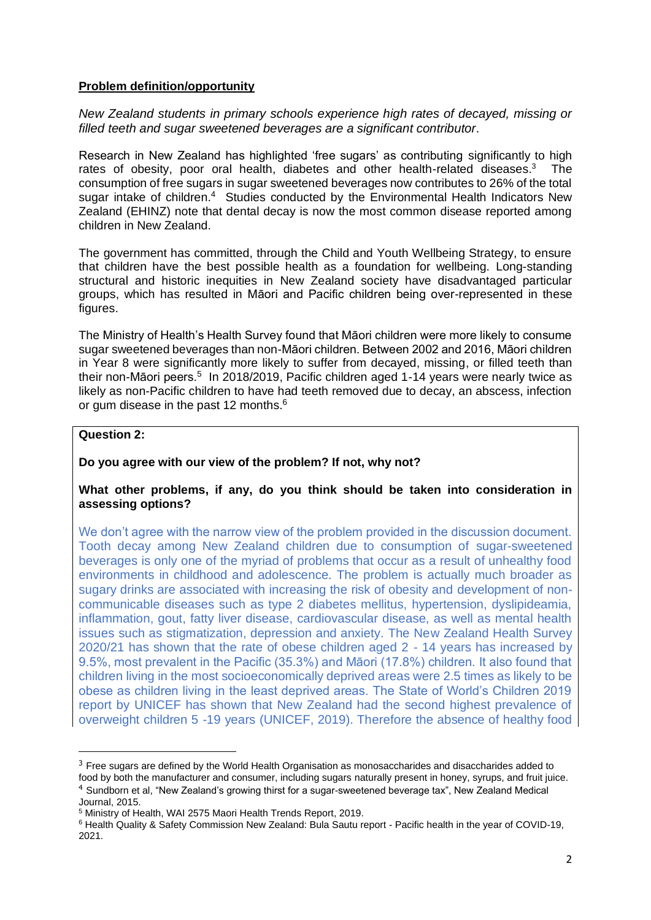### **Problem definition/opportunity**

*New Zealand students in primary schools experience high rates of decayed, missing or filled teeth and sugar sweetened beverages are a significant contributor.*

Research in New Zealand has highlighted 'free sugars' as contributing significantly to high rates of obesity, poor oral health, diabetes and other health-related diseases.<sup>3</sup> The consumption of free sugars in sugar sweetened beverages now contributes to 26% of the total sugar intake of children.<sup>4</sup> Studies conducted by the Environmental Health Indicators New Zealand (EHINZ) note that dental decay is now the most common disease reported among children in New Zealand.

The government has committed, through the Child and Youth Wellbeing Strategy, to ensure that children have the best possible health as a foundation for wellbeing. Long-standing structural and historic inequities in New Zealand society have disadvantaged particular groups, which has resulted in Māori and Pacific children being over-represented in these figures.

The Ministry of Health's Health Survey found that Māori children were more likely to consume sugar sweetened beverages than non-Māori children. Between 2002 and 2016, Māori children in Year 8 were significantly more likely to suffer from decayed, missing, or filled teeth than their non-Māori peers.<sup>5</sup> In 2018/2019, Pacific children aged 1-14 years were nearly twice as likely as non-Pacific children to have had teeth removed due to decay, an abscess, infection or gum disease in the past 12 months.<sup>6</sup>

#### **Question 2:**

### **Do you agree with our view of the problem? If not, why not?**

#### **What other problems, if any, do you think should be taken into consideration in assessing options?**

We don't agree with the narrow view of the problem provided in the discussion document. Tooth decay among New Zealand children due to consumption of sugar-sweetened beverages is only one of the myriad of problems that occur as a result of unhealthy food environments in childhood and adolescence. The problem is actually much broader as sugary drinks are associated with increasing the risk of obesity and development of noncommunicable diseases such as type 2 diabetes mellitus, hypertension, dyslipideamia, inflammation, gout, fatty liver disease, cardiovascular disease, as well as mental health issues such as stigmatization, depression and anxiety. The New Zealand Health Survey 2020/21 has shown that the rate of obese children aged 2 - 14 years has increased by 9.5%, most prevalent in the Pacific (35.3%) and Māori (17.8%) children. It also found that children living in the most socioeconomically deprived areas were 2.5 times as likely to be obese as children living in the least deprived areas. The State of World's Children 2019 report by UNICEF has shown that New Zealand had the second highest prevalence of overweight children 5 -19 years (UNICEF, 2019). Therefore the absence of healthy food

 $3$  Free sugars are defined by the World Health Organisation as monosaccharides and disaccharides added to food by both the manufacturer and consumer, including sugars naturally present in honey, syrups, and fruit juice. <sup>4</sup> Sundborn et al, "New Zealand's growing thirst for a sugar-sweetened beverage tax", New Zealand Medical

Journal, 2015.

<sup>5</sup> Ministry of Health, WAI 2575 Maori Health Trends Report, 2019.

<sup>6</sup> Health Quality & Safety Commission New Zealand: Bula Sautu report - Pacific health in the year of COVID-19, 2021.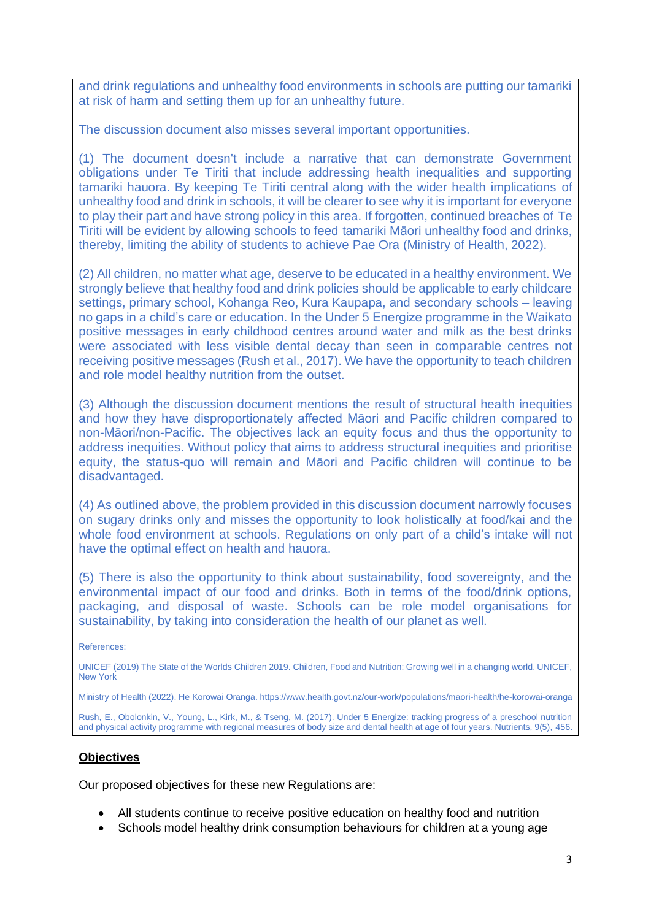and drink regulations and unhealthy food environments in schools are putting our tamariki at risk of harm and setting them up for an unhealthy future.

The discussion document also misses several important opportunities.

(1) The document doesn't include a narrative that can demonstrate Government obligations under Te Tiriti that include addressing health inequalities and supporting tamariki hauora. By keeping Te Tiriti central along with the wider health implications of unhealthy food and drink in schools, it will be clearer to see why it is important for everyone to play their part and have strong policy in this area. If forgotten, continued breaches of Te Tiriti will be evident by allowing schools to feed tamariki Māori unhealthy food and drinks, thereby, limiting the ability of students to achieve Pae Ora (Ministry of Health, 2022).

(2) All children, no matter what age, deserve to be educated in a healthy environment. We strongly believe that healthy food and drink policies should be applicable to early childcare settings, primary school, Kohanga Reo, Kura Kaupapa, and secondary schools – leaving no gaps in a child's care or education. In the Under 5 Energize programme in the Waikato positive messages in early childhood centres around water and milk as the best drinks were associated with less visible dental decay than seen in comparable centres not receiving positive messages (Rush et al., 2017). We have the opportunity to teach children and role model healthy nutrition from the outset.

(3) Although the discussion document mentions the result of structural health inequities and how they have disproportionately affected Māori and Pacific children compared to non-Māori/non-Pacific. The objectives lack an equity focus and thus the opportunity to address inequities. Without policy that aims to address structural inequities and prioritise equity, the status-quo will remain and Māori and Pacific children will continue to be disadvantaged.

(4) As outlined above, the problem provided in this discussion document narrowly focuses on sugary drinks only and misses the opportunity to look holistically at food/kai and the whole food environment at schools. Regulations on only part of a child's intake will not have the optimal effect on health and hauora.

(5) There is also the opportunity to think about sustainability, food sovereignty, and the environmental impact of our food and drinks. Both in terms of the food/drink options, packaging, and disposal of waste. Schools can be role model organisations for sustainability, by taking into consideration the health of our planet as well.

#### References:

UNICEF (2019) The State of the Worlds Children 2019. Children, Food and Nutrition: Growing well in a changing world. UNICEF, New York

Ministry of Health (2022). He Korowai Oranga. https://www.health.govt.nz/our-work/populations/maori-health/he-korowai-oranga

Rush, E., Obolonkin, V., Young, L., Kirk, M., & Tseng, M. (2017). Under 5 Energize: tracking progress of a preschool nutrition and physical activity programme with regional measures of body size and dental health at age of four years. Nutrients, 9(5), 456.

### **Objectives**

Our proposed objectives for these new Regulations are:

- All students continue to receive positive education on healthy food and nutrition
- Schools model healthy drink consumption behaviours for children at a young age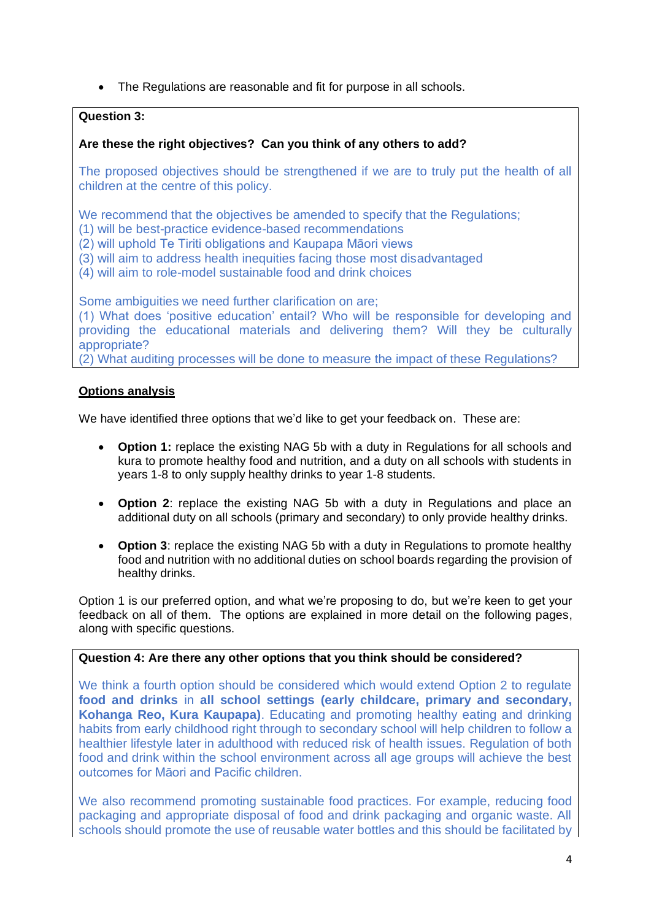• The Regulations are reasonable and fit for purpose in all schools.

# **Question 3:**

# **Are these the right objectives? Can you think of any others to add?**

The proposed objectives should be strengthened if we are to truly put the health of all children at the centre of this policy.

We recommend that the objectives be amended to specify that the Regulations:

(1) will be best-practice evidence-based recommendations

- (2) will uphold Te Tiriti obligations and Kaupapa Māori views
- (3) will aim to address health inequities facing those most disadvantaged
- (4) will aim to role-model sustainable food and drink choices

Some ambiguities we need further clarification on are;

(1) What does 'positive education' entail? Who will be responsible for developing and providing the educational materials and delivering them? Will they be culturally appropriate?

(2) What auditing processes will be done to measure the impact of these Regulations?

### **Options analysis**

We have identified three options that we'd like to get your feedback on. These are:

- **Option 1:** replace the existing NAG 5b with a duty in Regulations for all schools and kura to promote healthy food and nutrition, and a duty on all schools with students in years 1-8 to only supply healthy drinks to year 1-8 students.
- **Option 2**: replace the existing NAG 5b with a duty in Regulations and place an additional duty on all schools (primary and secondary) to only provide healthy drinks.
- **Option 3**: replace the existing NAG 5b with a duty in Regulations to promote healthy food and nutrition with no additional duties on school boards regarding the provision of healthy drinks.

Option 1 is our preferred option, and what we're proposing to do, but we're keen to get your feedback on all of them. The options are explained in more detail on the following pages, along with specific questions.

# **Question 4: Are there any other options that you think should be considered?**

We think a fourth option should be considered which would extend Option 2 to regulate **food and drinks** in **all school settings (early childcare, primary and secondary, Kohanga Reo, Kura Kaupapa)**. Educating and promoting healthy eating and drinking habits from early childhood right through to secondary school will help children to follow a healthier lifestyle later in adulthood with reduced risk of health issues. Regulation of both food and drink within the school environment across all age groups will achieve the best outcomes for Māori and Pacific children.

We also recommend promoting sustainable food practices. For example, reducing food packaging and appropriate disposal of food and drink packaging and organic waste. All schools should promote the use of reusable water bottles and this should be facilitated by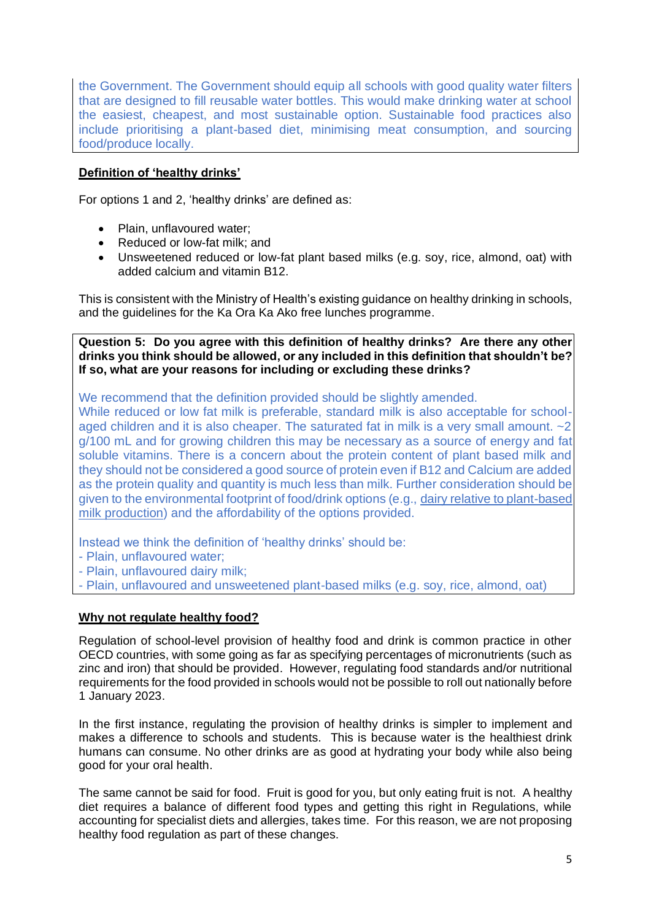the Government. The Government should equip all schools with good quality water filters that are designed to fill reusable water bottles. This would make drinking water at school the easiest, cheapest, and most sustainable option. Sustainable food practices also include prioritising a plant-based diet, minimising meat consumption, and sourcing food/produce locally.

# **Definition of 'healthy drinks'**

For options 1 and 2, 'healthy drinks' are defined as:

- Plain, unflavoured water;
- Reduced or low-fat milk; and
- Unsweetened reduced or low-fat plant based milks (e.g. soy, rice, almond, oat) with added calcium and vitamin B12.

This is consistent with the Ministry of Health's existing guidance on healthy drinking in schools, and the guidelines for the Ka Ora Ka Ako free lunches programme.

**Question 5: Do you agree with this definition of healthy drinks? Are there any other drinks you think should be allowed, or any included in this definition that shouldn't be? If so, what are your reasons for including or excluding these drinks?**

We recommend that the definition provided should be slightly amended.

While reduced or low fat milk is preferable, standard milk is also acceptable for schoolaged children and it is also cheaper. The saturated fat in milk is a very small amount. ~2 g/100 mL and for growing children this may be necessary as a source of energy and fat soluble vitamins. There is a concern about the protein content of plant based milk and they should not be considered a good source of protein even if B12 and Calcium are added as the protein quality and quantity is much less than milk. Further consideration should be given to the environmental footprint of food/drink options (e.g., [dairy relative to plant-based](https://ourworldindata.org/environmental-impact-milks)  [milk production\)](https://ourworldindata.org/environmental-impact-milks) and the affordability of the options provided.

Instead we think the definition of 'healthy drinks' should be:

- Plain, unflavoured water;
- Plain, unflavoured dairy milk;
- Plain, unflavoured and unsweetened plant-based milks (e.g. soy, rice, almond, oat)

### **Why not regulate healthy food?**

Regulation of school-level provision of healthy food and drink is common practice in other OECD countries, with some going as far as specifying percentages of micronutrients (such as zinc and iron) that should be provided. However, regulating food standards and/or nutritional requirements for the food provided in schools would not be possible to roll out nationally before 1 January 2023.

In the first instance, regulating the provision of healthy drinks is simpler to implement and makes a difference to schools and students. This is because water is the healthiest drink humans can consume. No other drinks are as good at hydrating your body while also being good for your oral health.

The same cannot be said for food. Fruit is good for you, but only eating fruit is not. A healthy diet requires a balance of different food types and getting this right in Regulations, while accounting for specialist diets and allergies, takes time. For this reason, we are not proposing healthy food regulation as part of these changes.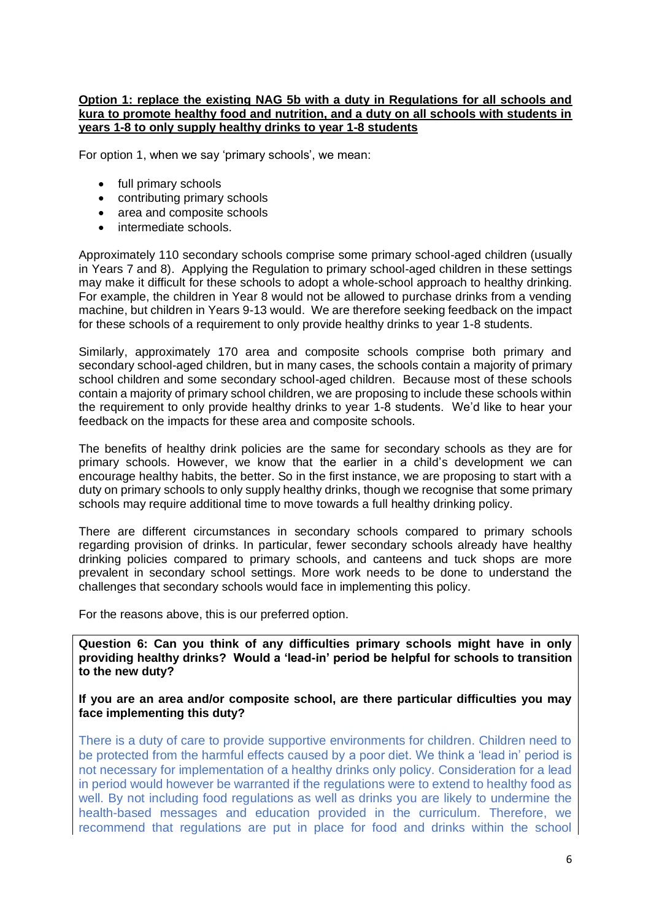#### **Option 1: replace the existing NAG 5b with a duty in Regulations for all schools and kura to promote healthy food and nutrition, and a duty on all schools with students in years 1-8 to only supply healthy drinks to year 1-8 students**

For option 1, when we say 'primary schools', we mean:

- full primary schools
- contributing primary schools
- area and composite schools
- intermediate schools.

Approximately 110 secondary schools comprise some primary school-aged children (usually in Years 7 and 8). Applying the Regulation to primary school-aged children in these settings may make it difficult for these schools to adopt a whole-school approach to healthy drinking. For example, the children in Year 8 would not be allowed to purchase drinks from a vending machine, but children in Years 9-13 would. We are therefore seeking feedback on the impact for these schools of a requirement to only provide healthy drinks to year 1-8 students.

Similarly, approximately 170 area and composite schools comprise both primary and secondary school-aged children, but in many cases, the schools contain a majority of primary school children and some secondary school-aged children. Because most of these schools contain a majority of primary school children, we are proposing to include these schools within the requirement to only provide healthy drinks to year 1-8 students. We'd like to hear your feedback on the impacts for these area and composite schools.

The benefits of healthy drink policies are the same for secondary schools as they are for primary schools. However, we know that the earlier in a child's development we can encourage healthy habits, the better. So in the first instance, we are proposing to start with a duty on primary schools to only supply healthy drinks, though we recognise that some primary schools may require additional time to move towards a full healthy drinking policy.

There are different circumstances in secondary schools compared to primary schools regarding provision of drinks. In particular, fewer secondary schools already have healthy drinking policies compared to primary schools, and canteens and tuck shops are more prevalent in secondary school settings. More work needs to be done to understand the challenges that secondary schools would face in implementing this policy.

For the reasons above, this is our preferred option.

**Question 6: Can you think of any difficulties primary schools might have in only providing healthy drinks? Would a 'lead-in' period be helpful for schools to transition to the new duty?**

**If you are an area and/or composite school, are there particular difficulties you may face implementing this duty?** 

There is a duty of care to provide supportive environments for children. Children need to be protected from the harmful effects caused by a poor diet. We think a 'lead in' period is not necessary for implementation of a healthy drinks only policy. Consideration for a lead in period would however be warranted if the regulations were to extend to healthy food as well. By not including food regulations as well as drinks you are likely to undermine the health-based messages and education provided in the curriculum. Therefore, we recommend that regulations are put in place for food and drinks within the school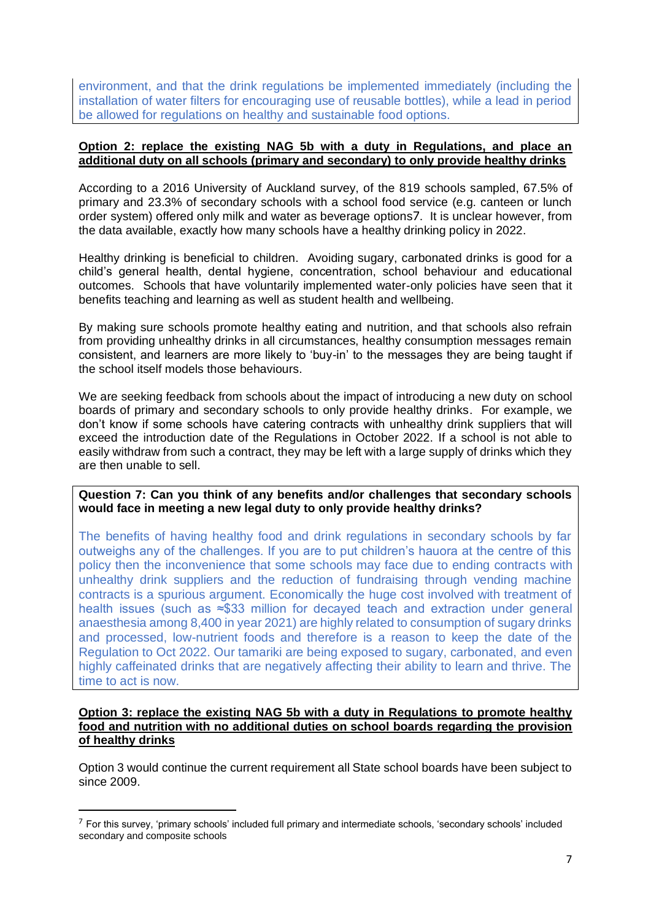environment, and that the drink regulations be implemented immediately (including the installation of water filters for encouraging use of reusable bottles), while a lead in period be allowed for regulations on healthy and sustainable food options.

### **Option 2: replace the existing NAG 5b with a duty in Regulations, and place an additional duty on all schools (primary and secondary) to only provide healthy drinks**

According to a 2016 University of Auckland survey, of the 819 schools sampled, 67.5% of primary and 23.3% of secondary schools with a school food service (e.g. canteen or lunch order system) offered only milk and water as beverage options7. It is unclear however, from the data available, exactly how many schools have a healthy drinking policy in 2022.

Healthy drinking is beneficial to children. Avoiding sugary, carbonated drinks is good for a child's general health, dental hygiene, concentration, school behaviour and educational outcomes. Schools that have voluntarily implemented water-only policies have seen that it benefits teaching and learning as well as student health and wellbeing.

By making sure schools promote healthy eating and nutrition, and that schools also refrain from providing unhealthy drinks in all circumstances, healthy consumption messages remain consistent, and learners are more likely to 'buy-in' to the messages they are being taught if the school itself models those behaviours.

We are seeking feedback from schools about the impact of introducing a new duty on school boards of primary and secondary schools to only provide healthy drinks. For example, we don't know if some schools have catering contracts with unhealthy drink suppliers that will exceed the introduction date of the Regulations in October 2022. If a school is not able to easily withdraw from such a contract, they may be left with a large supply of drinks which they are then unable to sell.

**Question 7: Can you think of any benefits and/or challenges that secondary schools would face in meeting a new legal duty to only provide healthy drinks?**

The benefits of having healthy food and drink regulations in secondary schools by far outweighs any of the challenges. If you are to put children's hauora at the centre of this policy then the inconvenience that some schools may face due to ending contracts with unhealthy drink suppliers and the reduction of fundraising through vending machine contracts is a spurious argument. Economically the huge cost involved with treatment of health issues (such as ≈\$33 million for decayed teach and extraction under general anaesthesia among 8,400 in year 2021) are highly related to consumption of sugary drinks and processed, low-nutrient foods and therefore is a reason to keep the date of the Regulation to Oct 2022. Our tamariki are being exposed to sugary, carbonated, and even highly caffeinated drinks that are negatively affecting their ability to learn and thrive. The time to act is now.

### **Option 3: replace the existing NAG 5b with a duty in Regulations to promote healthy food and nutrition with no additional duties on school boards regarding the provision of healthy drinks**

Option 3 would continue the current requirement all State school boards have been subject to since 2009.

<sup>7</sup> For this survey, 'primary schools' included full primary and intermediate schools, 'secondary schools' included secondary and composite schools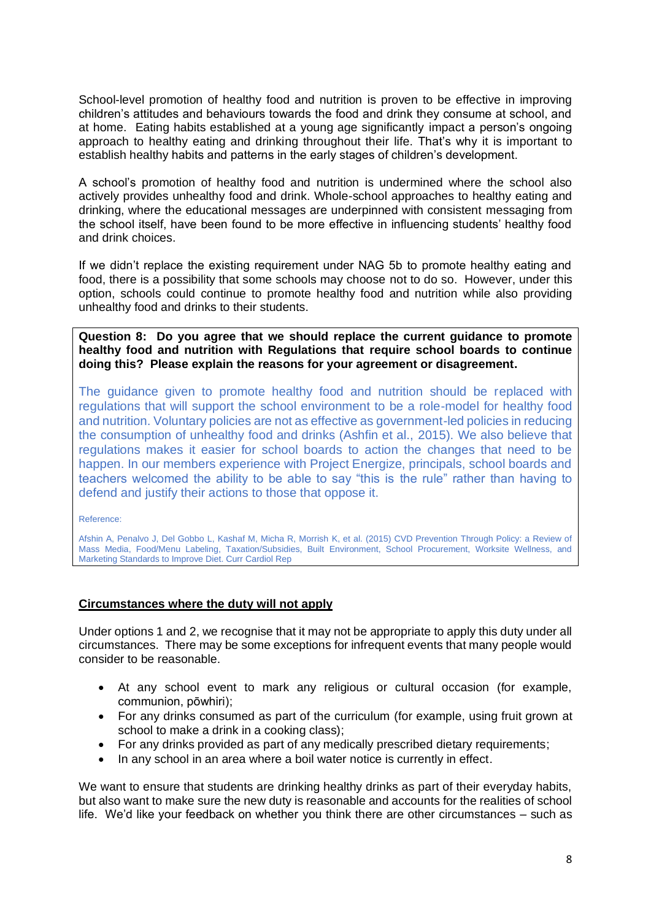School-level promotion of healthy food and nutrition is proven to be effective in improving children's attitudes and behaviours towards the food and drink they consume at school, and at home. Eating habits established at a young age significantly impact a person's ongoing approach to healthy eating and drinking throughout their life. That's why it is important to establish healthy habits and patterns in the early stages of children's development.

A school's promotion of healthy food and nutrition is undermined where the school also actively provides unhealthy food and drink. Whole-school approaches to healthy eating and drinking, where the educational messages are underpinned with consistent messaging from the school itself, have been found to be more effective in influencing students' healthy food and drink choices.

If we didn't replace the existing requirement under NAG 5b to promote healthy eating and food, there is a possibility that some schools may choose not to do so. However, under this option, schools could continue to promote healthy food and nutrition while also providing unhealthy food and drinks to their students.

**Question 8: Do you agree that we should replace the current guidance to promote healthy food and nutrition with Regulations that require school boards to continue doing this? Please explain the reasons for your agreement or disagreement.**

The guidance given to promote healthy food and nutrition should be replaced with regulations that will support the school environment to be a role-model for healthy food and nutrition. Voluntary policies are not as effective as government-led policies in reducing the consumption of unhealthy food and drinks (Ashfin et al., 2015). We also believe that regulations makes it easier for school boards to action the changes that need to be happen. In our members experience with Project Energize, principals, school boards and teachers welcomed the ability to be able to say "this is the rule" rather than having to defend and justify their actions to those that oppose it.

Reference:

Afshin A, Penalvo J, Del Gobbo L, Kashaf M, Micha R, Morrish K, et al. (2015) CVD Prevention Through Policy: a Review of Mass Media, Food/Menu Labeling, Taxation/Subsidies, Built Environment, School Procurement, Worksite Wellness, and Marketing Standards to Improve Diet. Curr Cardiol Rep

### **Circumstances where the duty will not apply**

Under options 1 and 2, we recognise that it may not be appropriate to apply this duty under all circumstances. There may be some exceptions for infrequent events that many people would consider to be reasonable.

- At any school event to mark any religious or cultural occasion (for example, communion, pōwhiri);
- For any drinks consumed as part of the curriculum (for example, using fruit grown at school to make a drink in a cooking class);
- For any drinks provided as part of any medically prescribed dietary requirements;
- In any school in an area where a boil water notice is currently in effect.

We want to ensure that students are drinking healthy drinks as part of their everyday habits, but also want to make sure the new duty is reasonable and accounts for the realities of school life. We'd like your feedback on whether you think there are other circumstances – such as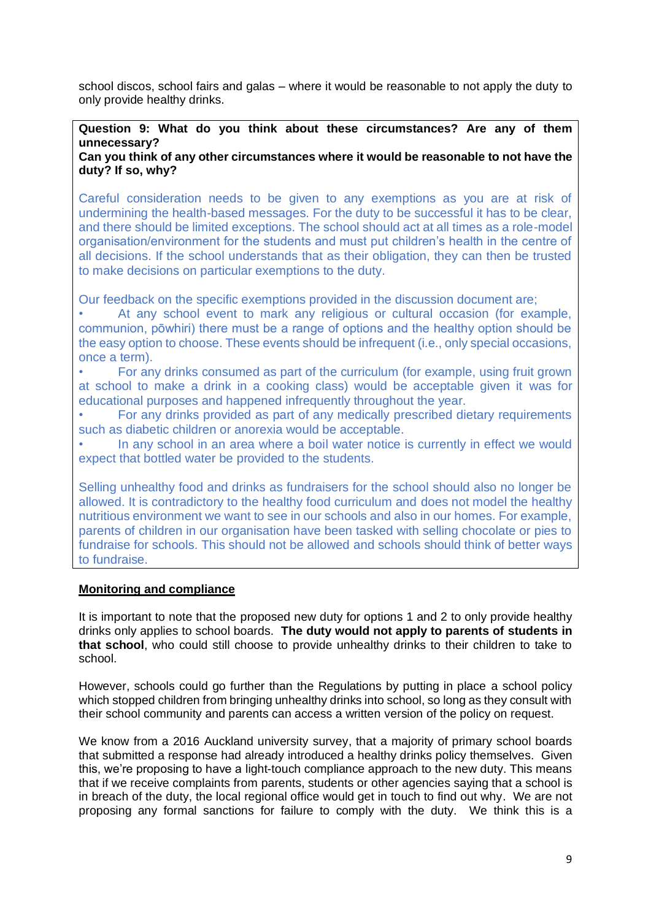school discos, school fairs and galas – where it would be reasonable to not apply the duty to only provide healthy drinks.

# **Question 9: What do you think about these circumstances? Are any of them unnecessary?**

### **Can you think of any other circumstances where it would be reasonable to not have the duty? If so, why?**

Careful consideration needs to be given to any exemptions as you are at risk of undermining the health-based messages. For the duty to be successful it has to be clear, and there should be limited exceptions. The school should act at all times as a role-model organisation/environment for the students and must put children's health in the centre of all decisions. If the school understands that as their obligation, they can then be trusted to make decisions on particular exemptions to the duty.

Our feedback on the specific exemptions provided in the discussion document are;

At any school event to mark any religious or cultural occasion (for example, communion, pōwhiri) there must be a range of options and the healthy option should be the easy option to choose. These events should be infrequent (i.e., only special occasions, once a term).

• For any drinks consumed as part of the curriculum (for example, using fruit grown at school to make a drink in a cooking class) would be acceptable given it was for educational purposes and happened infrequently throughout the year.

• For any drinks provided as part of any medically prescribed dietary requirements such as diabetic children or anorexia would be acceptable.

• In any school in an area where a boil water notice is currently in effect we would expect that bottled water be provided to the students.

Selling unhealthy food and drinks as fundraisers for the school should also no longer be allowed. It is contradictory to the healthy food curriculum and does not model the healthy nutritious environment we want to see in our schools and also in our homes. For example, parents of children in our organisation have been tasked with selling chocolate or pies to fundraise for schools. This should not be allowed and schools should think of better ways to fundraise.

# **Monitoring and compliance**

It is important to note that the proposed new duty for options 1 and 2 to only provide healthy drinks only applies to school boards. **The duty would not apply to parents of students in that school**, who could still choose to provide unhealthy drinks to their children to take to school.

However, schools could go further than the Regulations by putting in place a school policy which stopped children from bringing unhealthy drinks into school, so long as they consult with their school community and parents can access a written version of the policy on request.

We know from a 2016 Auckland university survey, that a majority of primary school boards that submitted a response had already introduced a healthy drinks policy themselves. Given this, we're proposing to have a light-touch compliance approach to the new duty. This means that if we receive complaints from parents, students or other agencies saying that a school is in breach of the duty, the local regional office would get in touch to find out why. We are not proposing any formal sanctions for failure to comply with the duty. We think this is a